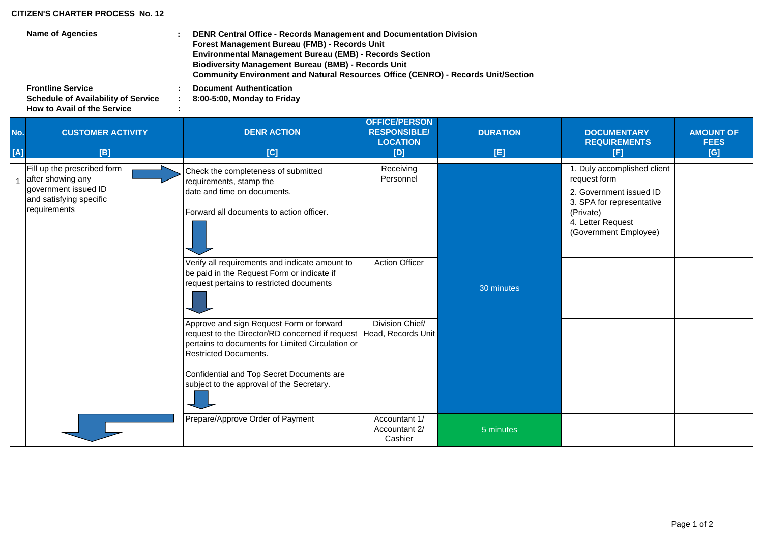## **CITIZEN'S CHARTER PROCESS No. 12**

**: Name of Agencies DENR Central Office - Records Management and Documentation Division Forest Management Bureau (FMB) - Records Unit Environmental Management Bureau (EMB) - Records Section Biodiversity Management Bureau (BMB) - Records Unit Community Environment and Natural Resources Office (CENRO) - Records Unit/Section**

**Frontline Service Schedule of Availability of Service How to Avail of the Service**

**: Document Authentication**

**: 8:00-5:00, Monday to Friday :**

|  | No.<br><b>CUSTOMER ACTIVITY</b><br>[A]<br>[B]                                                                       | <b>DENR ACTION</b><br>[C]                                                                                                                                                                                                                                                                      | <b>OFFICE/PERSON</b><br><b>RESPONSIBLE/</b><br><b>LOCATION</b><br>[D] | <b>DURATION</b><br>[E] | <b>DOCUMENTARY</b><br><b>REQUIREMENTS</b><br>[F]                                                                                                               | <b>AMOUNT OF</b><br><b>FEES</b><br>[G] |
|--|---------------------------------------------------------------------------------------------------------------------|------------------------------------------------------------------------------------------------------------------------------------------------------------------------------------------------------------------------------------------------------------------------------------------------|-----------------------------------------------------------------------|------------------------|----------------------------------------------------------------------------------------------------------------------------------------------------------------|----------------------------------------|
|  | Fill up the prescribed form<br>after showing any<br>government issued ID<br>and satisfying specific<br>requirements | Check the completeness of submitted<br>requirements, stamp the<br>date and time on documents.<br>Forward all documents to action officer.                                                                                                                                                      | Receiving<br>Personnel                                                |                        | 1. Duly accomplished client<br>request form<br>2. Government issued ID<br>3. SPA for representative<br>(Private)<br>4. Letter Request<br>(Government Employee) |                                        |
|  |                                                                                                                     | Verify all requirements and indicate amount to<br>be paid in the Request Form or indicate if<br>request pertains to restricted documents                                                                                                                                                       | <b>Action Officer</b>                                                 | 30 minutes             |                                                                                                                                                                |                                        |
|  |                                                                                                                     | Approve and sign Request Form or forward<br>request to the Director/RD concerned if request   Head, Records Unit<br>pertains to documents for Limited Circulation or<br><b>Restricted Documents.</b><br>Confidential and Top Secret Documents are<br>subject to the approval of the Secretary. | Division Chief/                                                       |                        |                                                                                                                                                                |                                        |
|  |                                                                                                                     | Prepare/Approve Order of Payment                                                                                                                                                                                                                                                               | Accountant 1/<br>Accountant 2/<br>Cashier                             | 5 minutes              |                                                                                                                                                                |                                        |